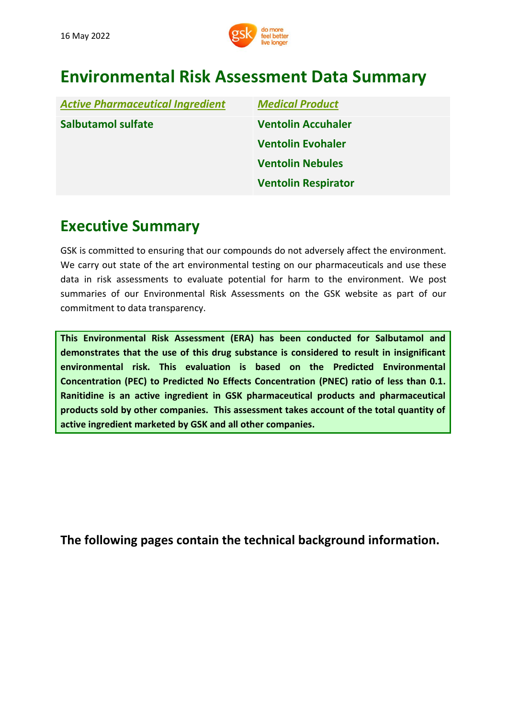

# **Environmental Risk Assessment Data Summary**

| <b>Active Pharmaceutical Ingredient</b> | <b>Medical Product</b>     |
|-----------------------------------------|----------------------------|
| <b>Salbutamol sulfate</b>               | <b>Ventolin Accuhaler</b>  |
|                                         | <b>Ventolin Evohaler</b>   |
|                                         | <b>Ventolin Nebules</b>    |
|                                         | <b>Ventolin Respirator</b> |

## **Executive Summary**

GSK is committed to ensuring that our compounds do not adversely affect the environment. We carry out state of the art environmental testing on our pharmaceuticals and use these data in risk assessments to evaluate potential for harm to the environment. We post summaries of our Environmental Risk Assessments on the GSK website as part of our commitment to data transparency.

**This Environmental Risk Assessment (ERA) has been conducted for Salbutamol and demonstrates that the use of this drug substance is considered to result in insignificant environmental risk. This evaluation is based on the Predicted Environmental Concentration (PEC) to Predicted No Effects Concentration (PNEC) ratio of less than 0.1. Ranitidine is an active ingredient in GSK pharmaceutical products and pharmaceutical products sold by other companies. This assessment takes account of the total quantity of active ingredient marketed by GSK and all other companies.**

**[The](http://www.gsk.com/bupropion) following pages contain the technical background information.**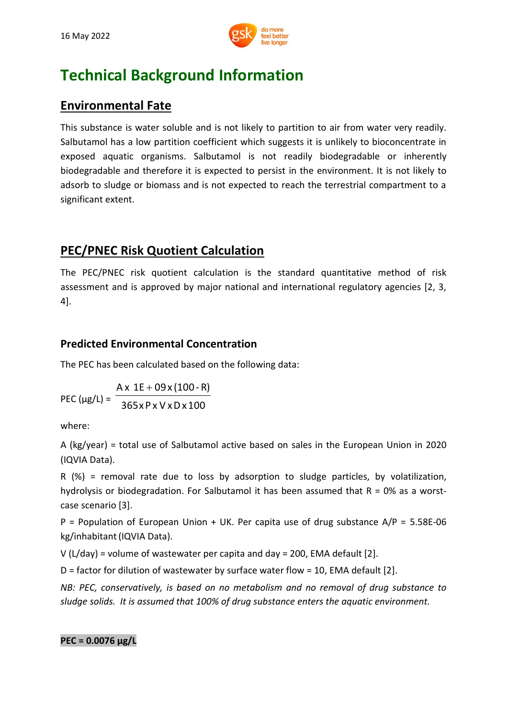

# **Technical Background Information**

### **Environmental Fate**

This substance is water soluble and is not likely to partition to air from water very readily. Salbutamol has a low partition coefficient which suggests it is unlikely to bioconcentrate in exposed aquatic organisms. Salbutamol is not readily biodegradable or inherently biodegradable and therefore it is expected to persist in the environment. It is not likely to adsorb to sludge or biomass and is not expected to reach the terrestrial compartment to a significant extent.

### **PEC/PNEC Risk Quotient Calculation**

The PEC/PNEC risk quotient calculation is the standard quantitative method of risk assessment and is approved by major national and international regulatory agencies [2, 3, 4].

#### **Predicted Environmental Concentration**

The PEC has been calculated based on the following data:

PEC ( $\mu$ g/L) = 365xP x V xDx100  $Ax 1E + 09x(100 - R)$ 

where:

A (kg/year) = total use of Salbutamol active based on sales in the European Union in 2020 (IQVIA Data).

R (%) = removal rate due to loss by adsorption to sludge particles, by volatilization, hydrolysis or biodegradation. For Salbutamol it has been assumed that  $R = 0\%$  as a worstcase scenario [3].

P = Population of European Union + UK. Per capita use of drug substance  $A/P = 5.58E-06$ kg/inhabitant(IQVIA Data).

V ( $L/day$ ) = volume of wastewater per capita and day = 200, EMA default [2].

D = factor for dilution of wastewater by surface water flow = 10, EMA default [2].

*NB: PEC, conservatively, is based on no metabolism and no removal of drug substance to sludge solids. It is assumed that 100% of drug substance enters the aquatic environment.*

#### **PEC = 0.0076 μg/L**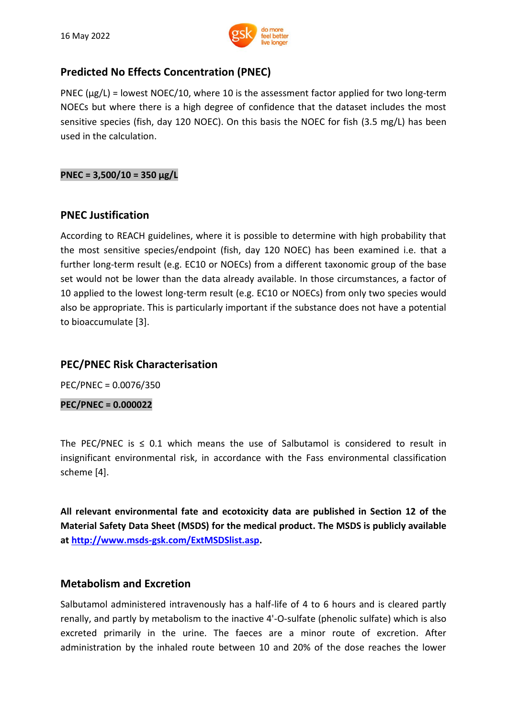

#### **Predicted No Effects Concentration (PNEC)**

PNEC ( $\mu$ g/L) = lowest NOEC/10, where 10 is the assessment factor applied for two long-term NOECs but where there is a high degree of confidence that the dataset includes the most sensitive species (fish, day 120 NOEC). On this basis the NOEC for fish (3.5 mg/L) has been used in the calculation.

#### **PNEC = 3,500/10 = 350 µg/L**

#### **PNEC Justification**

According to REACH guidelines, where it is possible to determine with high probability that the most sensitive species/endpoint (fish, day 120 NOEC) has been examined i.e. that a further long-term result (e.g. EC10 or NOECs) from a different taxonomic group of the base set would not be lower than the data already available. In those circumstances, a factor of 10 applied to the lowest long-term result (e.g. EC10 or NOECs) from only two species would also be appropriate. This is particularly important if the substance does not have a potential to bioaccumulate [3].

#### **PEC/PNEC Risk Characterisation**

PEC/PNEC = 0.0076/350

**PEC/PNEC = 0.000022**

The PEC/PNEC is  $\leq$  0.1 which means the use of Salbutamol is considered to result in insignificant environmental risk, in accordance with the Fass environmental classification scheme [4].

**All relevant environmental fate and ecotoxicity data are published in Section 12 of the Material Safety Data Sheet (MSDS) for the medical product. The MSDS is publicly available at [http://www.msds-gsk.com/ExtMSDSlist.asp.](http://www.msds-gsk.com/ExtMSDSlist.asp)**

#### **Metabolism and Excretion**

Salbutamol administered intravenously has a half-life of 4 to 6 hours and is cleared partly renally, and partly by metabolism to the inactive 4'-O-sulfate (phenolic sulfate) which is also excreted primarily in the urine. The faeces are a minor route of excretion. After administration by the inhaled route between 10 and 20% of the dose reaches the lower